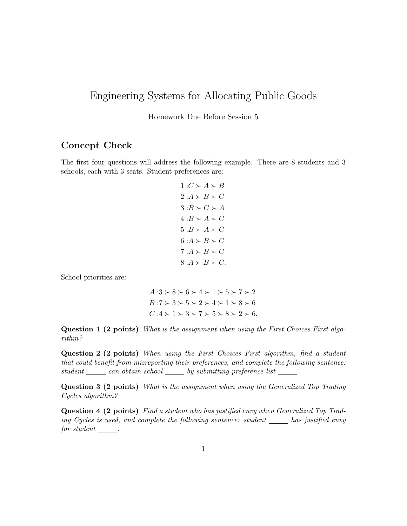## Engineering Systems for Allocating Public Goods

Homework Due Before Session 5

## Concept Check

The first four questions will address the following example. There are 8 students and 3 schools, each with 3 seats. Student preferences are:

$$
1:C \succ A \succ B
$$
  
\n
$$
2:A \succ B \succ C
$$
  
\n
$$
3:B \succ C \succ A
$$
  
\n
$$
4:B \succ A \succ C
$$
  
\n
$$
5:B \succ A \succ C
$$
  
\n
$$
6:A \succ B \succ C
$$
  
\n
$$
7:A \succ B \succ C
$$
  
\n
$$
8:A \succ B \succ C
$$

School priorities are:

 $A:3 \succ 8 \succ 6 \succ 4 \succ 1 \succ 5 \succ 7 \succ 2$  $B:7 \succ 3 \succ 5 \succ 2 \succ 4 \succ 1 \succ 8 \succ 6$  $C:4 \succ 1 \succ 3 \succ 7 \succ 5 \succ 8 \succ 2 \succ 6.$ 

Question 1 (2 points) What is the assignment when using the First Choices First algorithm?

Question 2 (2 points) When using the First Choices First algorithm, find a student that could benefit from misreporting their preferences, and complete the following sentence:  $student \_\_\_can\ obtain\ school \_\_by\ submitting\ preference\ list \_\_.$ 

Question 3 (2 points) What is the assignment when using the Generalized Top Trading Cycles algorithm?

Question 4 (2 points) Find a student who has justified envy when Generalized Top Trading Cycles is used, and complete the following sentence: student  $\_\_\_\_$  has justified envy  $for student$   $\_\_$ .